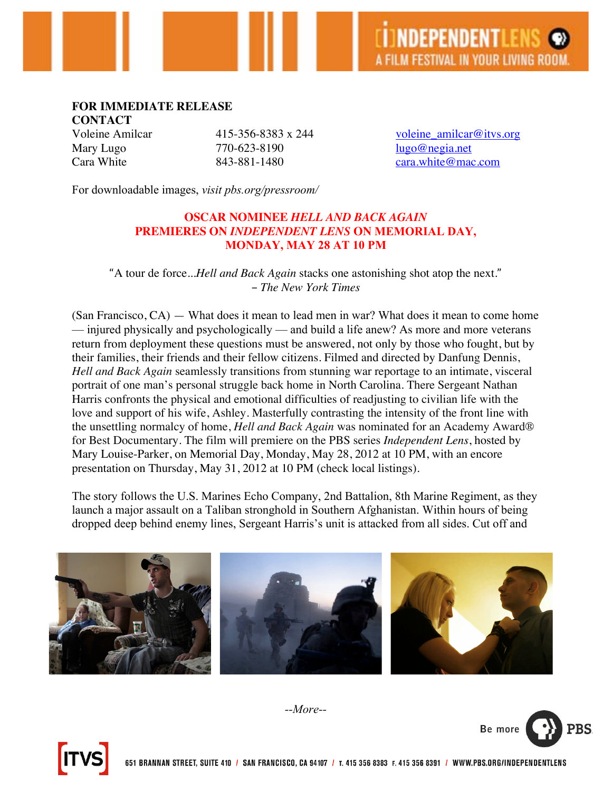## **FOR IMMEDIATE RELEASE**

**CONTACT**

Mary Lugo 770-623-8190 lugo@negia.net

Voleine Amilcar 415-356-8383 x 244 voleine amilcar@itvs.org Cara White 843-881-1480 cara.white@mac.com

For downloadable images, *visit pbs.org/pressroom/*

## **OSCAR NOMINEE** *HELL AND BACK AGAIN* **PREMIERES ON** *INDEPENDENT LENS* **ON MEMORIAL DAY, MONDAY, MAY 28 AT 10 PM**

"A tour de force...*Hell and Back Again* stacks one astonishing shot atop the next." *– The New York Times*

(San Francisco, CA) — What does it mean to lead men in war? What does it mean to come home — injured physically and psychologically — and build a life anew? As more and more veterans return from deployment these questions must be answered, not only by those who fought, but by their families, their friends and their fellow citizens. Filmed and directed by Danfung Dennis, *Hell and Back Again* seamlessly transitions from stunning war reportage to an intimate, visceral portrait of one man's personal struggle back home in North Carolina. There Sergeant Nathan Harris confronts the physical and emotional difficulties of readjusting to civilian life with the love and support of his wife, Ashley. Masterfully contrasting the intensity of the front line with the unsettling normalcy of home, *Hell and Back Again* was nominated for an Academy Award® for Best Documentary. The film will premiere on the PBS series *Independent Lens*, hosted by Mary Louise-Parker, on Memorial Day, Monday, May 28, 2012 at 10 PM, with an encore presentation on Thursday, May 31, 2012 at 10 PM (check local listings).

The story follows the U.S. Marines Echo Company, 2nd Battalion, 8th Marine Regiment, as they launch a major assault on a Taliban stronghold in Southern Afghanistan. Within hours of being dropped deep behind enemy lines, Sergeant Harris's unit is attacked from all sides. Cut off and







*--More--*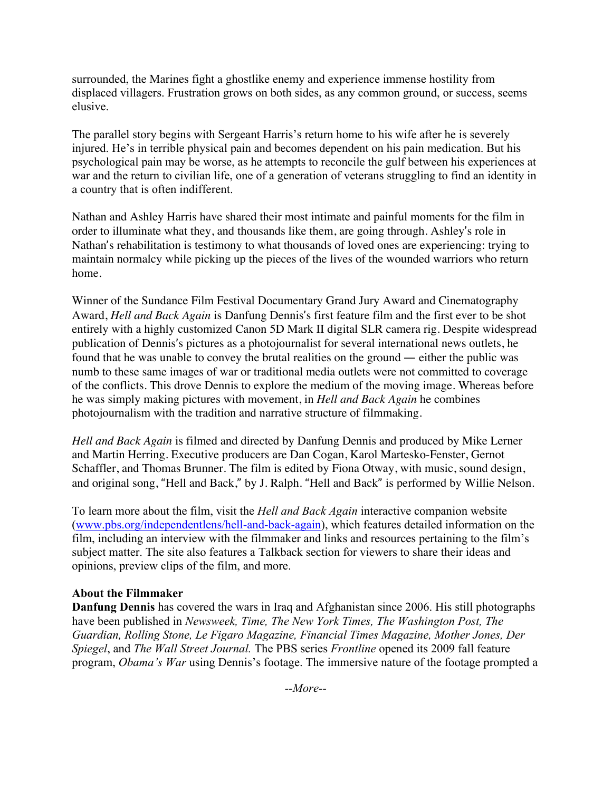surrounded, the Marines fight a ghostlike enemy and experience immense hostility from displaced villagers. Frustration grows on both sides, as any common ground, or success, seems elusive.

The parallel story begins with Sergeant Harris's return home to his wife after he is severely injured. He's in terrible physical pain and becomes dependent on his pain medication. But his psychological pain may be worse, as he attempts to reconcile the gulf between his experiences at war and the return to civilian life, one of a generation of veterans struggling to find an identity in a country that is often indifferent.

Nathan and Ashley Harris have shared their most intimate and painful moments for the film in order to illuminate what they, and thousands like them, are going through. Ashley's role in Nathan's rehabilitation is testimony to what thousands of loved ones are experiencing: trying to maintain normalcy while picking up the pieces of the lives of the wounded warriors who return home.

Winner of the Sundance Film Festival Documentary Grand Jury Award and Cinematography Award, *Hell and Back Again* is Danfung Dennis's first feature film and the first ever to be shot entirely with a highly customized Canon 5D Mark II digital SLR camera rig. Despite widespread publication of Dennis's pictures as a photojournalist for several international news outlets, he found that he was unable to convey the brutal realities on the ground — either the public was numb to these same images of war or traditional media outlets were not committed to coverage of the conflicts. This drove Dennis to explore the medium of the moving image. Whereas before he was simply making pictures with movement, in *Hell and Back Again* he combines photojournalism with the tradition and narrative structure of filmmaking.

*Hell and Back Again* is filmed and directed by Danfung Dennis and produced by Mike Lerner and Martin Herring. Executive producers are Dan Cogan, Karol Martesko-Fenster, Gernot Schaffler, and Thomas Brunner. The film is edited by Fiona Otway, with music, sound design, and original song, "Hell and Back," by J. Ralph. "Hell and Back" is performed by Willie Nelson.

To learn more about the film, visit the *Hell and Back Again* interactive companion website (www.pbs.org/independentlens/hell-and-back-again), which features detailed information on the film, including an interview with the filmmaker and links and resources pertaining to the film's subject matter. The site also features a Talkback section for viewers to share their ideas and opinions, preview clips of the film, and more.

## **About the Filmmaker**

**Danfung Dennis** has covered the wars in Iraq and Afghanistan since 2006. His still photographs have been published in *Newsweek, Time, The New York Times, The Washington Post, The Guardian, Rolling Stone, Le Figaro Magazine, Financial Times Magazine, Mother Jones, Der Spiegel*, and *The Wall Street Journal.* The PBS series *Frontline* opened its 2009 fall feature program, *Obama's War* using Dennis's footage. The immersive nature of the footage prompted a